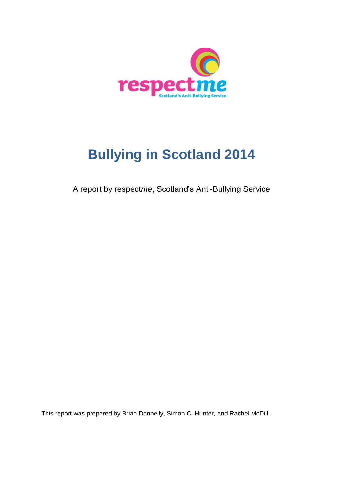

# **Bullying in Scotland 2014**

A report by respect*me*, Scotland's Anti-Bullying Service

This report was prepared by Brian Donnelly, Simon C. Hunter, and Rachel McDill.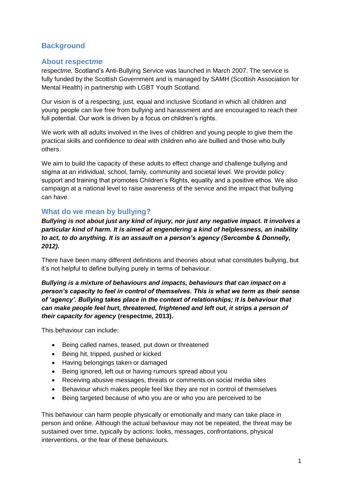# **Background**

### **About respect***me*

respect*me,* Scotland's Anti-Bullying Service was launched in March 2007. The service is fully funded by the Scottish Government and is managed by SAMH (Scottish Association for Mental Health) in partnership with LGBT Youth Scotland.

Our vision is of a respecting, just, equal and inclusive Scotland in which all children and young people can live free from bullying and harassment and are encouraged to reach their full potential. Our work is driven by a focus on children's rights.

We work with all adults involved in the lives of children and young people to give them the practical skills and confidence to deal with children who are bullied and those who bully others.

We aim to build the capacity of these adults to effect change and challenge bullying and stigma at an individual, school, family, community and societal level. We provide policy support and training that promotes Children's Rights, equality and a positive ethos. We also campaign at a national level to raise awareness of the service and the impact that bullying can have.

# **What do we mean by bullying?**

*Bullying is not about just any kind of injury, nor just any negative impact. It involves a particular kind of harm. It is aimed at engendering a kind of helplessness, an inability to act, to do anything. It is an assault on a person's agency (Sercombe & Donnelly, 2012).*

There have been many different definitions and theories about what constitutes bullying, but it's not helpful to define bullying purely in terms of behaviour.

*Bullying is a mixture of behaviours and impacts, behaviours that can impact on a person's capacity to feel in control of themselves. This is what we term as their sense of 'agency'. Bullying takes place in the context of relationships; it is behaviour that can make people feel hurt, threatened, frightened and left out, it strips a person of their capacity for agency* **(respect***me,* **2013).**

This behaviour can include:

- Being called names, teased, put down or threatened
- Being hit, tripped, pushed or kicked
- Having belongings taken or damaged
- Being ignored, left out or having rumours spread about you
- Receiving abusive messages, threats or comments on social media sites
- Behaviour which makes people feel like they are not in control of themselves
- Being targeted because of who you are or who you are perceived to be

This behaviour can harm people physically or emotionally and many can take place in person and online. Although the actual behaviour may not be repeated, the threat may be sustained over time, typically by actions: looks, messages, confrontations, physical interventions, or the fear of these behaviours.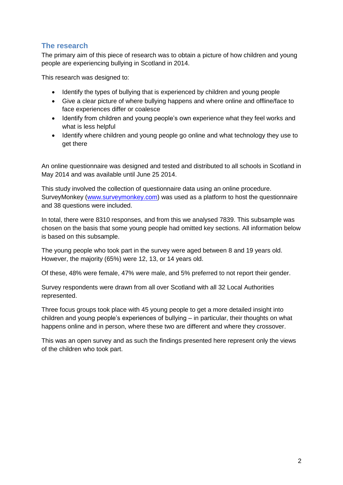# **The research**

The primary aim of this piece of research was to obtain a picture of how children and young people are experiencing bullying in Scotland in 2014.

This research was designed to:

- Identify the types of bullying that is experienced by children and young people
- Give a clear picture of where bullying happens and where online and offline/face to face experiences differ or coalesce
- Identify from children and young people's own experience what they feel works and what is less helpful
- Identify where children and young people go online and what technology they use to get there

An online questionnaire was designed and tested and distributed to all schools in Scotland in May 2014 and was available until June 25 2014.

This study involved the collection of questionnaire data using an online procedure. SurveyMonkey [\(www.surveymonkey.com\)](http://www.surveymonkey.com/) was used as a platform to host the questionnaire and 38 questions were included.

In total, there were 8310 responses, and from this we analysed 7839. This subsample was chosen on the basis that some young people had omitted key sections. All information below is based on this subsample.

The young people who took part in the survey were aged between 8 and 19 years old. However, the majority (65%) were 12, 13, or 14 years old.

Of these, 48% were female, 47% were male, and 5% preferred to not report their gender.

Survey respondents were drawn from all over Scotland with all 32 Local Authorities represented.

Three focus groups took place with 45 young people to get a more detailed insight into children and young people's experiences of bullying – in particular, their thoughts on what happens online and in person, where these two are different and where they crossover.

This was an open survey and as such the findings presented here represent only the views of the children who took part.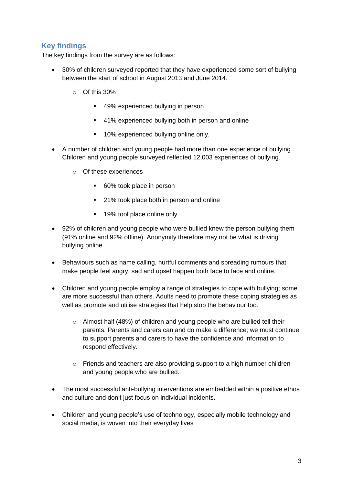# **Key findings**

The key findings from the survey are as follows:

- 30% of children surveyed reported that they have experienced some sort of bullying between the start of school in August 2013 and June 2014.
	- o Of this 30%
		- 49% experienced bullying in person
		- 41% experienced bullying both in person and online
		- **10% experienced bullying online only.**
- A number of children and young people had more than one experience of bullying. Children and young people surveyed reflected 12,003 experiences of bullying.
	- o Of these experiences
		- 60% took place in person
		- 21% took place both in person and online
		- 19% tool place online only
- 92% of children and young people who were bullied knew the person bullying them (91% online and 92% offline). Anonymity therefore may not be what is driving bullying online.
- Behaviours such as name calling, hurtful comments and spreading rumours that make people feel angry, sad and upset happen both face to face and online.
- Children and young people employ a range of strategies to cope with bullying; some are more successful than others. Adults need to promote these coping strategies as well as promote and utilise strategies that help stop the behaviour too.
	- $\circ$  Almost half (48%) of children and young people who are bullied tell their parents. Parents and carers can and do make a difference; we must continue to support parents and carers to have the confidence and information to respond effectively.
	- $\circ$  Friends and teachers are also providing support to a high number children and young people who are bullied.
- The most successful anti-bullying interventions are embedded within a positive ethos and culture and don't just focus on individual incidents**.**
- Children and young people's use of technology, especially mobile technology and social media, is woven into their everyday lives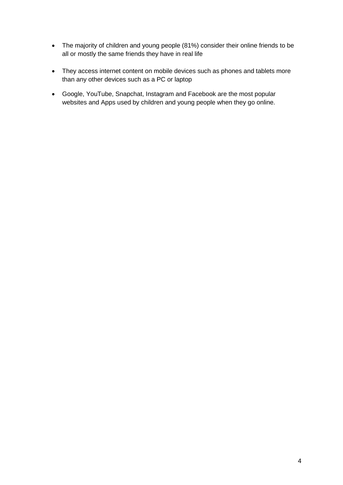- The majority of children and young people (81%) consider their online friends to be all or mostly the same friends they have in real life
- They access internet content on mobile devices such as phones and tablets more than any other devices such as a PC or laptop
- Google, YouTube, Snapchat, Instagram and Facebook are the most popular websites and Apps used by children and young people when they go online.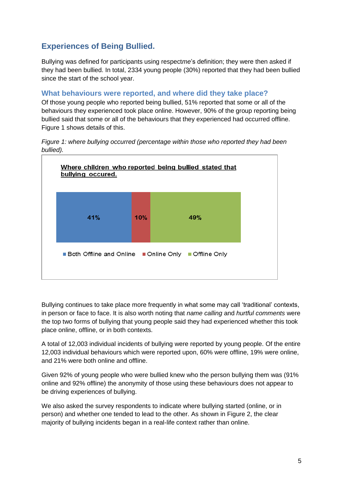# **Experiences of Being Bullied.**

Bullying was defined for participants using respect*me*'s definition; they were then asked if they had been bullied. In total, 2334 young people (30%) reported that they had been bullied since the start of the school year.

# **What behaviours were reported, and where did they take place?**

Of those young people who reported being bullied, 51% reported that some or all of the behaviours they experienced took place online. However, 90% of the group reporting being bullied said that some or all of the behaviours that they experienced had occurred offline. Figure 1 shows details of this.

*Figure 1: where bullying occurred (percentage within those who reported they had been bullied).*



Bullying continues to take place more frequently in what some may call 'traditional' contexts, in person or face to face. It is also worth noting that *name calling* and *hurtful comments* were the top two forms of bullying that young people said they had experienced whether this took place online, offline, or in both contexts.

A total of 12,003 individual incidents of bullying were reported by young people. Of the entire 12,003 individual behaviours which were reported upon, 60% were offline, 19% were online, and 21% were both online and offline.

Given 92% of young people who were bullied knew who the person bullying them was (91% online and 92% offline) the anonymity of those using these behaviours does not appear to be driving experiences of bullying.

We also asked the survey respondents to indicate where bullying started (online, or in person) and whether one tended to lead to the other. As shown in Figure 2, the clear majority of bullying incidents began in a real-life context rather than online.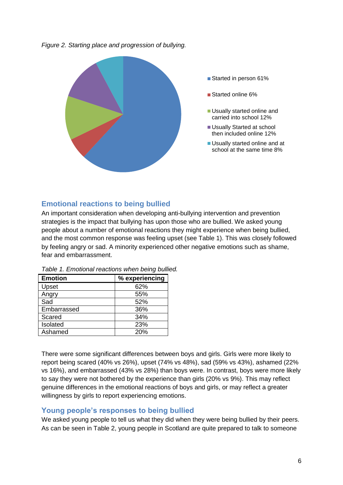*Figure 2. Starting place and progression of bullying.*



# **Emotional reactions to being bullied**

An important consideration when developing anti-bullying intervention and prevention strategies is the impact that bullying has upon those who are bullied. We asked young people about a number of emotional reactions they might experience when being bullied, and the most common response was feeling upset (see Table 1). This was closely followed by feeling angry or sad. A minority experienced other negative emotions such as shame, fear and embarrassment.

| <b>Emotion</b> | % experiencing |
|----------------|----------------|
| Upset          | 62%            |
| Angry          | 55%            |
| Sad            | 52%            |
| Embarrassed    | 36%            |
| Scared         | 34%            |
| Isolated       | 23%            |
| Ashamed        | 20%            |

*Table 1. Emotional reactions when being bullied.*

There were some significant differences between boys and girls. Girls were more likely to report being scared (40% vs 26%), upset (74% vs 48%), sad (59% vs 43%), ashamed (22% vs 16%), and embarrassed (43% vs 28%) than boys were. In contrast, boys were more likely to say they were not bothered by the experience than girls (20% vs 9%). This may reflect genuine differences in the emotional reactions of boys and girls, or may reflect a greater willingness by girls to report experiencing emotions.

# **Young people's responses to being bullied**

We asked young people to tell us what they did when they were being bullied by their peers. As can be seen in Table 2, young people in Scotland are quite prepared to talk to someone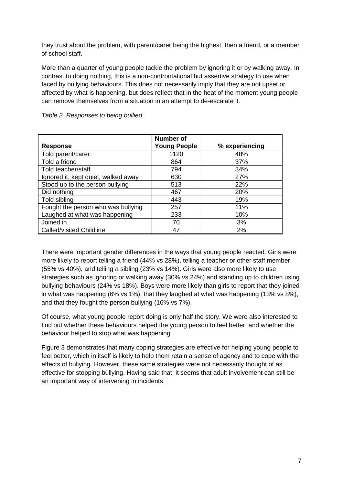they trust about the problem, with parent/carer being the highest, then a friend, or a member of school staff.

More than a quarter of young people tackle the problem by ignoring it or by walking away. In contrast to doing nothing, this is a non-confrontational but assertive strategy to use when faced by bullying behaviours. This does not necessarily imply that they are not upset or affected by what is happening, but does reflect that in the heat of the moment young people can remove themselves from a situation in an attempt to de-escalate it.

|                                     | <b>Number of</b>    |                |
|-------------------------------------|---------------------|----------------|
| <b>Response</b>                     | <b>Young People</b> | % experiencing |
| Told parent/carer                   | 1120                | 48%            |
| Told a friend                       | 864                 | 37%            |
| Told teacher/staff                  | 794                 | 34%            |
| Ignored it, kept quiet, walked away | 630                 | 27%            |
| Stood up to the person bullying     | 513                 | <b>22%</b>     |
| Did nothing                         | 467                 | 20%            |
| Told sibling                        | 443                 | 19%            |
| Fought the person who was bullying  | 257                 | 11%            |
| Laughed at what was happening       | 233                 | 10%            |
| Joined in                           | 70                  | 3%             |
| Called/visited Childline            | 47                  | 2%             |

There were important gender differences in the ways that young people reacted. Girls were more likely to report telling a friend (44% vs 28%), telling a teacher or other staff member (55% vs 40%), and telling a sibling (23% vs 14%). Girls were also more likely to use strategies such as ignoring or walking away (30% vs 24%) and standing up to children using bullying behaviours (24% vs 18%). Boys were more likely than girls to report that they joined in what was happening (6% vs 1%), that they laughed at what was happening (13% vs 8%), and that they fought the person bullying (16% vs 7%).

Of course, what young people report doing is only half the story. We were also interested to find out whether these behaviours helped the young person to feel better, and whether the behaviour helped to stop what was happening.

Figure 3 demonstrates that many coping strategies are effective for helping young people to feel better, which in itself is likely to help them retain a sense of agency and to cope with the effects of bullying. However, these same strategies were not necessarily thought of as effective for stopping bullying. Having said that, it seems that adult involvement can still be an important way of intervening in incidents.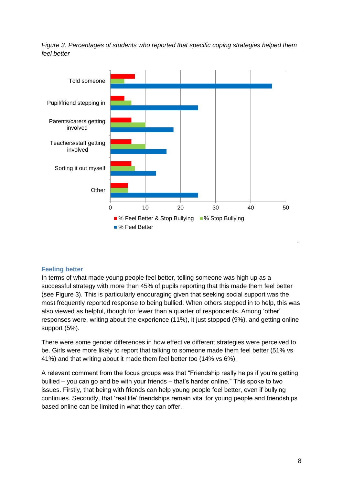*Figure 3. Percentages of students who reported that specific coping strategies helped them feel better*



### **Feeling better**

In terms of what made young people feel better, telling someone was high up as a successful strategy with more than 45% of pupils reporting that this made them feel better (see Figure 3). This is particularly encouraging given that seeking social support was the most frequently reported response to being bullied. When others stepped in to help, this was also viewed as helpful, though for fewer than a quarter of respondents. Among 'other' responses were, writing about the experience (11%), it just stopped (9%), and getting online support (5%).

There were some gender differences in how effective different strategies were perceived to be. Girls were more likely to report that talking to someone made them feel better (51% vs 41%) and that writing about it made them feel better too (14% vs 6%).

A relevant comment from the focus groups was that "Friendship really helps if you're getting bullied – you can go and be with your friends – that's harder online." This spoke to two issues. Firstly, that being with friends can help young people feel better, even if bullying continues. Secondly, that 'real life' friendships remain vital for young people and friendships based online can be limited in what they can offer.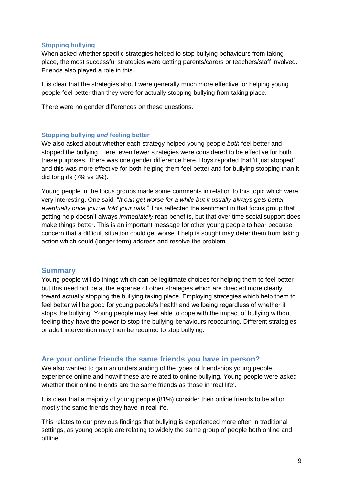### **Stopping bullying**

When asked whether specific strategies helped to stop bullying behaviours from taking place, the most successful strategies were getting parents/carers or teachers/staff involved. Friends also played a role in this.

It is clear that the strategies about were generally much more effective for helping young people feel better than they were for actually stopping bullying from taking place.

There were no gender differences on these questions.

### **Stopping bullying** *and* **feeling better**

We also asked about whether each strategy helped young people *both* feel better and stopped the bullying. Here, even fewer strategies were considered to be effective for both these purposes. There was one gender difference here. Boys reported that 'it just stopped' and this was more effective for both helping them feel better and for bullying stopping than it did for girls (7% vs 3%).

Young people in the focus groups made some comments in relation to this topic which were very interesting. One said: "*It can get worse for a while but it usually always gets better eventually once you've told your pals*." This reflected the sentiment in that focus group that getting help doesn't always *immediately* reap benefits, but that over time social support does make things better. This is an important message for other young people to hear because concern that a difficult situation could get worse if help is sought may deter them from taking action which could (longer term) address and resolve the problem.

### **Summary**

Young people will do things which can be legitimate choices for helping them to feel better but this need not be at the expense of other strategies which are directed more clearly toward actually stopping the bullying taking place. Employing strategies which help them to feel better will be good for young people's health and wellbeing regardless of whether it stops the bullying. Young people may feel able to cope with the impact of bullying without feeling they have the power to stop the bullying behaviours reoccurring. Different strategies or adult intervention may then be required to stop bullying.

# **Are your online friends the same friends you have in person?**

We also wanted to gain an understanding of the types of friendships young people experience online and how/if these are related to online bullying. Young people were asked whether their online friends are the same friends as those in 'real life'.

It is clear that a majority of young people (81%) consider their online friends to be all or mostly the same friends they have in real life.

This relates to our previous findings that bullying is experienced more often in traditional settings, as young people are relating to widely the same group of people both online and offline.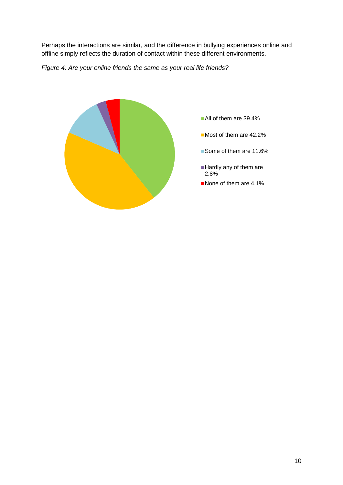Perhaps the interactions are similar, and the difference in bullying experiences online and offline simply reflects the duration of contact within these different environments.

*Figure 4: Are your online friends the same as your real life friends?*

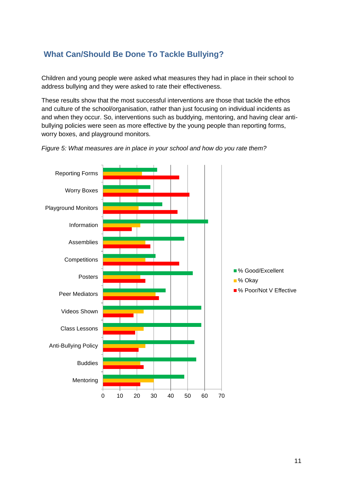# **What Can/Should Be Done To Tackle Bullying?**

Children and young people were asked what measures they had in place in their school to address bullying and they were asked to rate their effectiveness.

These results show that the most successful interventions are those that tackle the ethos and culture of the school/organisation, rather than just focusing on individual incidents as and when they occur. So, interventions such as buddying, mentoring, and having clear antibullying policies were seen as more effective by the young people than reporting forms, worry boxes, and playground monitors.



*Figure 5: What measures are in place in your school and how do you rate them?*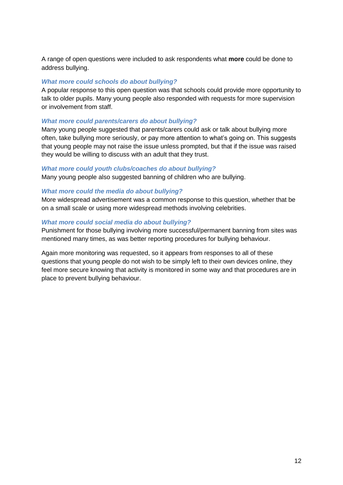A range of open questions were included to ask respondents what **more** could be done to address bullying.

### *What more could schools do about bullying?*

A popular response to this open question was that schools could provide more opportunity to talk to older pupils. Many young people also responded with requests for more supervision or involvement from staff.

### *What more could parents/carers do about bullying?*

Many young people suggested that parents/carers could ask or talk about bullying more often, take bullying more seriously, or pay more attention to what's going on. This suggests that young people may not raise the issue unless prompted, but that if the issue was raised they would be willing to discuss with an adult that they trust.

### *What more could youth clubs/coaches do about bullying?*

Many young people also suggested banning of children who are bullying.

### *What more could the media do about bullying?*

More widespread advertisement was a common response to this question, whether that be on a small scale or using more widespread methods involving celebrities.

### *What more could social media do about bullying?*

Punishment for those bullying involving more successful/permanent banning from sites was mentioned many times, as was better reporting procedures for bullying behaviour.

Again more monitoring was requested, so it appears from responses to all of these questions that young people do not wish to be simply left to their own devices online, they feel more secure knowing that activity is monitored in some way and that procedures are in place to prevent bullying behaviour.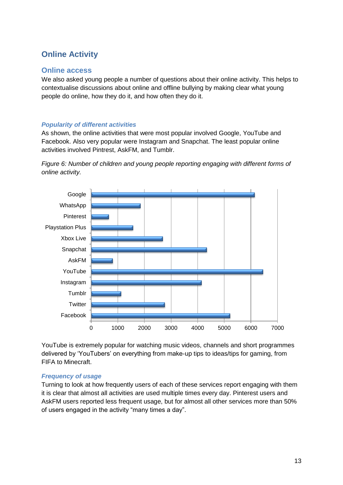# **Online Activity**

### **Online access**

We also asked young people a number of questions about their online activity. This helps to contextualise discussions about online and offline bullying by making clear what young people do online, how they do it, and how often they do it.

### *Popularity of different activities*

As shown, the online activities that were most popular involved Google, YouTube and Facebook. Also very popular were Instagram and Snapchat. The least popular online activities involved Pintrest, AskFM, and Tumblr.

*Figure 6: Number of children and young people reporting engaging with different forms of online activity.*



YouTube is extremely popular for watching music videos, channels and short programmes delivered by 'YouTubers' on everything from make-up tips to ideas/tips for gaming, from FIFA to Minecraft.

### *Frequency of usage*

Turning to look at how frequently users of each of these services report engaging with them it is clear that almost all activities are used multiple times every day. Pinterest users and AskFM users reported less frequent usage, but for almost all other services more than 50% of users engaged in the activity "many times a day".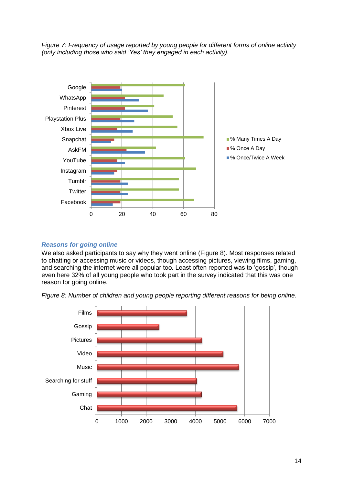



### *Reasons for going online*

We also asked participants to say why they went online (Figure 8). Most responses related to chatting or accessing music or videos, though accessing pictures, viewing films, gaming, and searching the internet were all popular too. Least often reported was to 'gossip', though even here 32% of all young people who took part in the survey indicated that this was one reason for going online.

*Figure 8: Number of children and young people reporting different reasons for being online.*

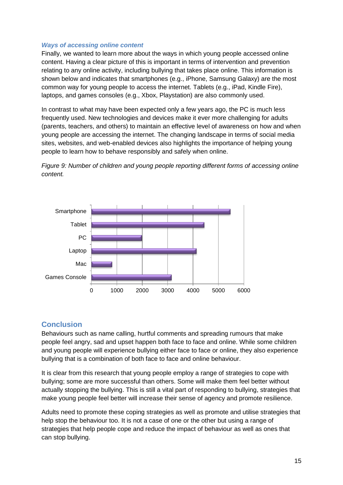### *Ways of accessing online content*

Finally, we wanted to learn more about the ways in which young people accessed online content. Having a clear picture of this is important in terms of intervention and prevention relating to any online activity, including bullying that takes place online. This information is shown below and indicates that smartphones (e.g., iPhone, Samsung Galaxy) are the most common way for young people to access the internet. Tablets (e.g., iPad, Kindle Fire), laptops, and games consoles (e.g., Xbox, Playstation) are also commonly used.

In contrast to what may have been expected only a few years ago, the PC is much less frequently used. New technologies and devices make it ever more challenging for adults (parents, teachers, and others) to maintain an effective level of awareness on how and when young people are accessing the internet. The changing landscape in terms of social media sites, websites, and web-enabled devices also highlights the importance of helping young people to learn how to behave responsibly and safely when online.





# **Conclusion**

Behaviours such as name calling, hurtful comments and spreading rumours that make people feel angry, sad and upset happen both face to face and online. While some children and young people will experience bullying either face to face or online, they also experience bullying that is a combination of both face to face and online behaviour.

It is clear from this research that young people employ a range of strategies to cope with bullying; some are more successful than others. Some will make them feel better without actually stopping the bullying. This is still a vital part of responding to bullying, strategies that make young people feel better will increase their sense of agency and promote resilience.

Adults need to promote these coping strategies as well as promote and utilise strategies that help stop the behaviour too. It is not a case of one or the other but using a range of strategies that help people cope and reduce the impact of behaviour as well as ones that can stop bullying.